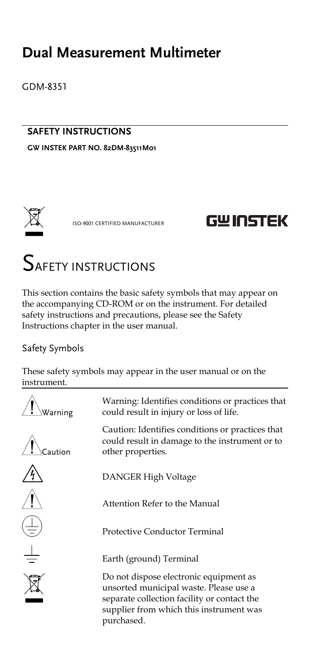## **Dual Measurement Multimeter**

GDM-8351

### **SAFETY INSTRUCTIONS**

**GW INSTEK PART NO. 82DM-83511M01**



ISO-9001 CERTIFIED MANUFACTURER

## **GWINSTEK**

# SAFETY INSTRUCTIONS

This section contains the basic safety symbols that may appear on the accompanying CD-ROM or on the instrument. For detailed safety instructions and precautions, please see the Safety Instructions chapter in the user manual.

#### Safety Symbols

These safety symbols may appear in the user manual or on the instrument.

| Warning: Identifies conditions or practices that<br>could result in injury or loss of life.                                                                                              |
|------------------------------------------------------------------------------------------------------------------------------------------------------------------------------------------|
| Caution: Identifies conditions or practices that<br>could result in damage to the instrument or to<br>other properties.                                                                  |
| DANGER High Voltage                                                                                                                                                                      |
| Attention Refer to the Manual                                                                                                                                                            |
| <b>Protective Conductor Terminal</b>                                                                                                                                                     |
| Earth (ground) Terminal                                                                                                                                                                  |
| Do not dispose electronic equipment as<br>unsorted municipal waste. Please use a<br>separate collection facility or contact the<br>supplier from which this instrument was<br>purchased. |
|                                                                                                                                                                                          |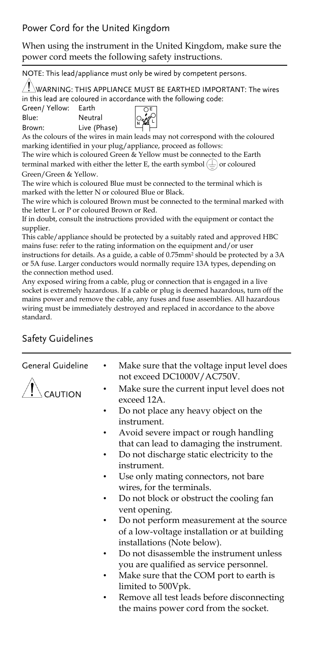### Power Cord for the United Kingdom

When using the instrument in the United Kingdom, make sure the power cord meets the following safety instructions.

NOTE: This lead/appliance must only be wired by competent persons.

WARNING: THIS APPLIANCE MUST BE EARTHED IMPORTANT: The wires in this lead are coloured in accordance with the following code:

Green/ Yellow: Earth Blue: Neutral

Brown: Live (Phase)



As the colours of the wires in main leads may not correspond with the coloured marking identified in your plug/appliance, proceed as follows:

The wire which is coloured Green & Yellow must be connected to the Earth terminal marked with either the letter E, the earth symbol  $(\perp)$  or coloured Green/Green & Yellow.

The wire which is coloured Blue must be connected to the terminal which is marked with the letter N or coloured Blue or Black.

The wire which is coloured Brown must be connected to the terminal marked with the letter L or P or coloured Brown or Red.

If in doubt, consult the instructions provided with the equipment or contact the supplier.

This cable/appliance should be protected by a suitably rated and approved HBC mains fuse: refer to the rating information on the equipment and/or user

instructions for details. As a guide, a cable of 0.75mm<sup>2</sup> should be protected by a 3A or 5A fuse. Larger conductors would normally require 13A types, depending on the connection method used.

Any exposed wiring from a cable, plug or connection that is engaged in a live socket is extremely hazardous. If a cable or plug is deemed hazardous, turn off the mains power and remove the cable, any fuses and fuse assemblies. All hazardous wiring must be immediately destroyed and replaced in accordance to the above standard.

### Safety Guidelines

| General Guideline | ٠ | Make sure that the voltage input level does<br>not exceed DC1000V/AC750V. |
|-------------------|---|---------------------------------------------------------------------------|
|                   | ٠ | Make sure the current input level does not<br>exceed 12A.                 |
|                   |   | Do not place any heavy object on the                                      |
|                   |   | instrument.                                                               |
|                   | ٠ | Avoid severe impact or rough handling                                     |
|                   |   | that can lead to damaging the instrument.                                 |
|                   |   | Do not discharge static electricity to the                                |
|                   |   | instrument.                                                               |
|                   | ٠ | Use only mating connectors, not bare                                      |
|                   |   | wires, for the terminals.                                                 |
|                   |   | Do not block or obstruct the cooling fan                                  |

vent opening. • Do not perform measurement at the source of a low-voltage installation or at building

installations (Note below). • Do not disassemble the instrument unless you are qualified as service personnel.

- Make sure that the COM port to earth is limited to 500Vpk.
- Remove all test leads before disconnecting the mains power cord from the socket.